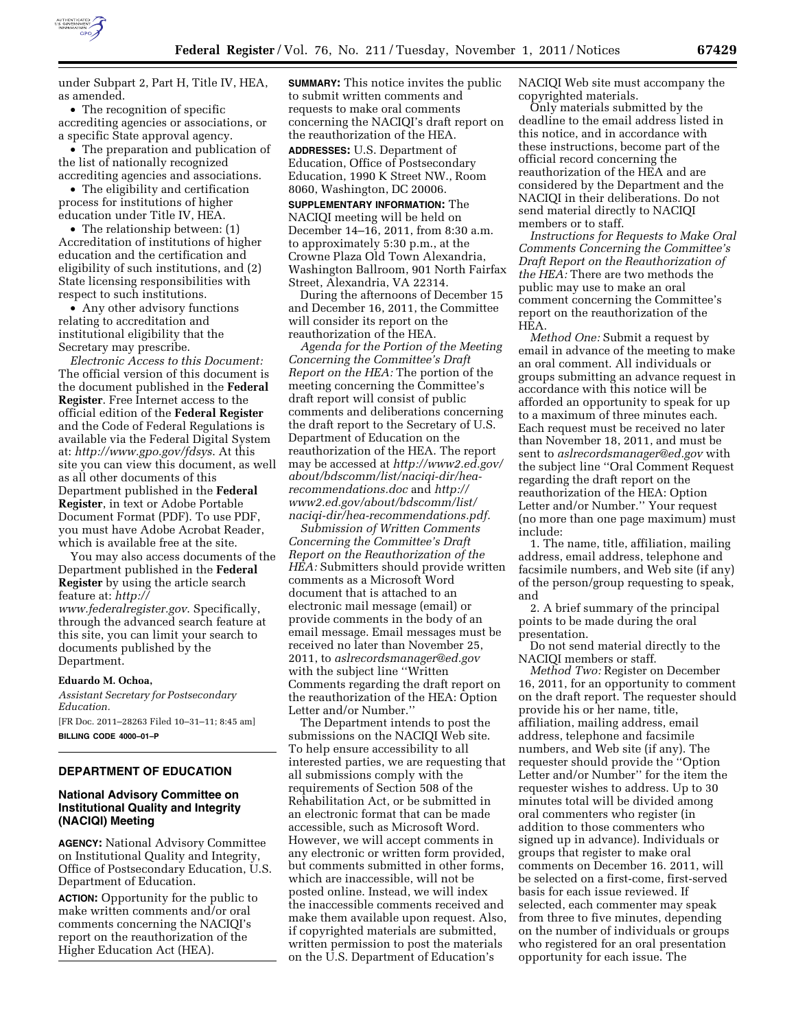

under Subpart 2, Part H, Title IV, HEA, as amended.

• The recognition of specific accrediting agencies or associations, or a specific State approval agency.

• The preparation and publication of the list of nationally recognized accrediting agencies and associations.

• The eligibility and certification process for institutions of higher education under Title IV, HEA.

• The relationship between: (1) Accreditation of institutions of higher education and the certification and eligibility of such institutions, and (2) State licensing responsibilities with respect to such institutions.

• Any other advisory functions relating to accreditation and institutional eligibility that the Secretary may prescribe.

*Electronic Access to this Document:*  The official version of this document is the document published in the **Federal Register**. Free Internet access to the official edition of the **Federal Register**  and the Code of Federal Regulations is available via the Federal Digital System at: *<http://www.gpo.gov/fdsys>*. At this site you can view this document, as well as all other documents of this Department published in the **Federal Register**, in text or Adobe Portable Document Format (PDF). To use PDF, you must have Adobe Acrobat Reader, which is available free at the site.

You may also access documents of the Department published in the **Federal Register** by using the article search feature at: *[http://](http://www.federalregister.gov)* 

*[www.federalregister.gov](http://www.federalregister.gov)*. Specifically, through the advanced search feature at this site, you can limit your search to documents published by the Department.

### **Eduardo M. Ochoa,**

*Assistant Secretary for Postsecondary Education.* 

[FR Doc. 2011–28263 Filed 10–31–11; 8:45 am] **BILLING CODE 4000–01–P** 

# **DEPARTMENT OF EDUCATION**

# **National Advisory Committee on Institutional Quality and Integrity (NACIQI) Meeting**

**AGENCY:** National Advisory Committee on Institutional Quality and Integrity, Office of Postsecondary Education, U.S. Department of Education.

**ACTION:** Opportunity for the public to make written comments and/or oral comments concerning the NACIQI's report on the reauthorization of the Higher Education Act (HEA).

**SUMMARY:** This notice invites the public to submit written comments and requests to make oral comments concerning the NACIQI's draft report on the reauthorization of the HEA.

**ADDRESSES:** U.S. Department of Education, Office of Postsecondary Education, 1990 K Street NW., Room 8060, Washington, DC 20006.

**SUPPLEMENTARY INFORMATION:** The NACIQI meeting will be held on December 14–16, 2011, from 8:30 a.m. to approximately 5:30 p.m., at the Crowne Plaza Old Town Alexandria, Washington Ballroom, 901 North Fairfax Street, Alexandria, VA 22314.

During the afternoons of December 15 and December 16, 2011, the Committee will consider its report on the reauthorization of the HEA.

*Agenda for the Portion of the Meeting Concerning the Committee's Draft Report on the HEA:* The portion of the meeting concerning the Committee's draft report will consist of public comments and deliberations concerning the draft report to the Secretary of U.S. Department of Education on the reauthorization of the HEA. The report may be accessed at *[http://www2.ed.gov/](http://www2.ed.gov/about/bdscomm/list/naciqi-dir/hea-recommendations.doc) [about/bdscomm/list/naciqi-dir/hea](http://www2.ed.gov/about/bdscomm/list/naciqi-dir/hea-recommendations.doc)[recommendations.doc](http://www2.ed.gov/about/bdscomm/list/naciqi-dir/hea-recommendations.doc)* and *http:// www2.ed.gov/about/bdscomm/list/ naciqi-dir/hea-recommendations.pdf.* 

*Submission of Written Comments Concerning the Committee's Draft Report on the Reauthorization of the HEA:* Submitters should provide written comments as a Microsoft Word document that is attached to an electronic mail message (email) or provide comments in the body of an email message. Email messages must be received no later than November 25, 2011, to *[aslrecordsmanager@ed.gov](mailto:aslrecordsmanager@ed.gov)*  with the subject line ''Written Comments regarding the draft report on the reauthorization of the HEA: Option Letter and/or Number.''

The Department intends to post the submissions on the NACIQI Web site. To help ensure accessibility to all interested parties, we are requesting that all submissions comply with the requirements of Section 508 of the Rehabilitation Act, or be submitted in an electronic format that can be made accessible, such as Microsoft Word. However, we will accept comments in any electronic or written form provided, but comments submitted in other forms, which are inaccessible, will not be posted online. Instead, we will index the inaccessible comments received and make them available upon request. Also, if copyrighted materials are submitted, written permission to post the materials on the U.S. Department of Education's

NACIQI Web site must accompany the copyrighted materials.

Only materials submitted by the deadline to the email address listed in this notice, and in accordance with these instructions, become part of the official record concerning the reauthorization of the HEA and are considered by the Department and the NACIQI in their deliberations. Do not send material directly to NACIQI members or to staff.

*Instructions for Requests to Make Oral Comments Concerning the Committee's Draft Report on the Reauthorization of the HEA:* There are two methods the public may use to make an oral comment concerning the Committee's report on the reauthorization of the HEA.

*Method One:* Submit a request by email in advance of the meeting to make an oral comment. All individuals or groups submitting an advance request in accordance with this notice will be afforded an opportunity to speak for up to a maximum of three minutes each. Each request must be received no later than November 18, 2011, and must be sent to *[aslrecordsmanager@ed.gov](mailto:aslrecordsmanager@ed.gov)* with the subject line ''Oral Comment Request regarding the draft report on the reauthorization of the HEA: Option Letter and/or Number.'' Your request (no more than one page maximum) must include:

1. The name, title, affiliation, mailing address, email address, telephone and facsimile numbers, and Web site (if any) of the person/group requesting to speak, and

2. A brief summary of the principal points to be made during the oral presentation.

Do not send material directly to the NACIQI members or staff.

*Method Two:* Register on December 16, 2011, for an opportunity to comment on the draft report. The requester should provide his or her name, title, affiliation, mailing address, email address, telephone and facsimile numbers, and Web site (if any). The requester should provide the ''Option Letter and/or Number'' for the item the requester wishes to address. Up to 30 minutes total will be divided among oral commenters who register (in addition to those commenters who signed up in advance). Individuals or groups that register to make oral comments on December 16. 2011, will be selected on a first-come, first-served basis for each issue reviewed. If selected, each commenter may speak from three to five minutes, depending on the number of individuals or groups who registered for an oral presentation opportunity for each issue. The